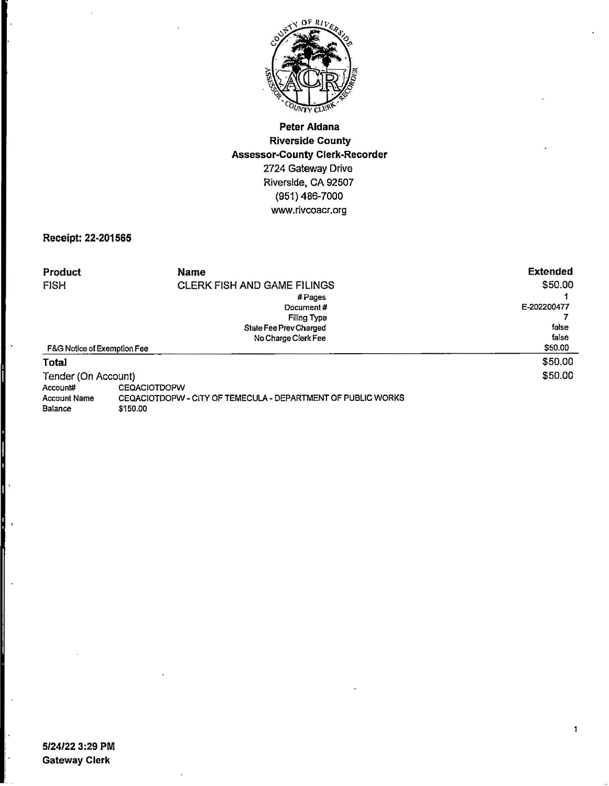

## **Peter Aldana Riverside County Assessor-County Clerk-Recorder**  2724 Gateway Drive Riverside, CA 92507 (951) 486-7000 www.rivcoacr.org

## **Receipt: 22-201565**

| Product                     | Name                                                         | <b>Extended</b> |  |
|-----------------------------|--------------------------------------------------------------|-----------------|--|
| <b>FISH</b>                 | <b>CLERK FISH AND GAME FILINGS</b>                           | \$50.00         |  |
|                             | #Pages                                                       |                 |  |
|                             | Document#                                                    | E-202200477     |  |
|                             | Filing Type                                                  |                 |  |
|                             | State Fee Prev Charged                                       | false           |  |
|                             | No Charge Clerk Fee                                          | false           |  |
| F&G Notice of Exemption Fee |                                                              | \$50.00         |  |
| Total                       |                                                              | \$50.00         |  |
| Tender (On Account)         | \$50.00                                                      |                 |  |
| Account#                    | <b>CEQACIOTDOPW</b>                                          |                 |  |
| <b>Account Name</b>         | CEQACIOTDOPW - CITY OF TEMECULA - DEPARTMENT OF PUBLIC WORKS |                 |  |

Balance \$150.00

 $\ddot{\phantom{0}}$ 

 $\ddot{\phantom{1}}$ 

 $\ddot{\phantom{a}}$ 

ļ.

 $\overline{\mathbf{1}}$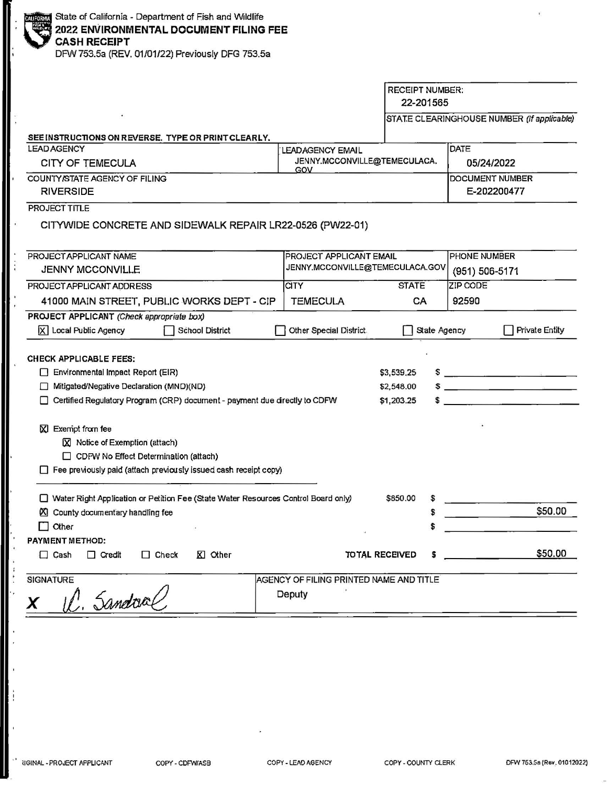| State of California - Department of Fish and Wildlife  |
|--------------------------------------------------------|
| 2022 ENVIRONMENTAL DOCUMENT FILING FEE<br>CASH RECEIPT |
|                                                        |
| $P(X, T) = P(X, T)$                                    |

DFW753.5a (REV. 01/01/22) Previously DFG 753.5a

 $\vdots$ 

ļ,

 $\ddot{\cdot}$ ŀ,

à  $\overline{a}$ 

 $\ddot{1}$ 

j,

|                                                                                                                                                                                                                                                                                                                                                                  |                                                         | <b>RECEIPT NUMBER:</b><br>22-201565    |                                            |
|------------------------------------------------------------------------------------------------------------------------------------------------------------------------------------------------------------------------------------------------------------------------------------------------------------------------------------------------------------------|---------------------------------------------------------|----------------------------------------|--------------------------------------------|
|                                                                                                                                                                                                                                                                                                                                                                  |                                                         |                                        | STATE CLEARINGHOUSE NUMBER (If applicable) |
| SEE INSTRUCTIONS ON REVERSE. TYPE OR PRINT CLEARLY.                                                                                                                                                                                                                                                                                                              |                                                         |                                        |                                            |
| <b>LEAD AGENCY</b><br><b>CITY OF TEMECULA</b>                                                                                                                                                                                                                                                                                                                    | <b>LEADAGENCY EMAIL</b><br>JENNY.MCCONVILLE@TEMECULACA. |                                        | DATE                                       |
| COUNTY/STATE AGENCY OF FILING                                                                                                                                                                                                                                                                                                                                    | GOV                                                     |                                        | 05/24/2022                                 |
| <b>RIVERSIDE</b>                                                                                                                                                                                                                                                                                                                                                 |                                                         |                                        | DOCUMENT NUMBER<br>E-202200477             |
| <b>PROJECT TITLE</b>                                                                                                                                                                                                                                                                                                                                             |                                                         |                                        |                                            |
| CITYWIDE CONCRETE AND SIDEWALK REPAIR LR22-0526 (PW22-01)                                                                                                                                                                                                                                                                                                        |                                                         |                                        |                                            |
| PROJECT APPLICANT NAME                                                                                                                                                                                                                                                                                                                                           | PROJECT APPLICANT EMAIL                                 |                                        | <b>PHONE NUMBER</b>                        |
| <b>JENNY MCCONVILLE</b>                                                                                                                                                                                                                                                                                                                                          | JENNY.MCCONVILLE@TEMECULACA.GOV                         |                                        | (951) 506-5171                             |
| PROJECT APPLICANT ADDRESS                                                                                                                                                                                                                                                                                                                                        | <b>CITY</b>                                             | <b>STATE</b>                           | <b>ZIP CODE</b>                            |
| 41000 MAIN STREET, PUBLIC WORKS DEPT - CIP                                                                                                                                                                                                                                                                                                                       | <b>TEMECULA</b>                                         | CA                                     | 92590                                      |
| PROJECT APPLICANT (Check appropriate box)<br>X Local Public Agency<br>School District                                                                                                                                                                                                                                                                            | Other Special District.                                 | State Agency                           | Private Entity                             |
| <b>CHECK APPLICABLE FEES:</b><br>Environmental Impact Report (EIR)<br>Mitigated/Negative Declaration (MND)(ND)<br>Certified Regulatory Program (CRP) document - payment due directly to CDFW<br>X Exempt from fee<br>X Notice of Exemption (attach)<br>CDFW No Effect Determination (attach)<br>Fee previously paid (attach previously issued cash receipt copy) |                                                         | \$3,539.25<br>\$2,548.00<br>\$1,203.25 | $\sim$                                     |
| □ Water Right Application or Petition Fee (State Water Resources Control Board only)                                                                                                                                                                                                                                                                             |                                                         | \$850.00<br>\$                         |                                            |
| County documentary handling fee                                                                                                                                                                                                                                                                                                                                  |                                                         | \$                                     | \$50.00                                    |
| $\Box$ Other                                                                                                                                                                                                                                                                                                                                                     |                                                         |                                        |                                            |
| <b>PAYMENT METHOD:</b>                                                                                                                                                                                                                                                                                                                                           |                                                         |                                        |                                            |
| $\Box$ Check<br>⊠ Other<br>$\Box$ Cash<br>$\Box$ Credit                                                                                                                                                                                                                                                                                                          | <b>TOTAL RECEIVED</b>                                   | \$                                     | \$50.00                                    |
| SIGNATURE<br>C. Sandral                                                                                                                                                                                                                                                                                                                                          | AGENCY OF FILING PRINTED NAME AND TITLE<br>Deputy       |                                        |                                            |
|                                                                                                                                                                                                                                                                                                                                                                  |                                                         |                                        |                                            |